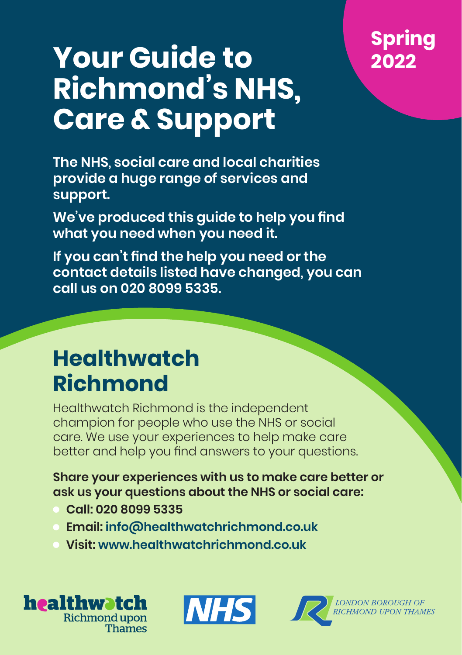## **Spring 2022**

# **Your Guide to Richmond's NHS, Care & Support**

**The NHS, social care and local charities provide a huge range of services and support.** 

**We've produced this guide to help you find what you need when you need it.** 

**If you can't find the help you need or the contact details listed have changed, you can call us on 020 8099 5335.**

## **Healthwatch Richmond**

Healthwatch Richmond is the independent champion for people who use the NHS or social care. We use your experiences to help make care better and help you find answers to your questions.

**Share your experiences with us to make care better or ask us your questions about the NHS or social care:**

- **Call: 020 8099 5335**
- **Email: [info@healthwatchrichmond.co.uk](mailto:info@healthwatchrichmond.co.uk)**
- **Visit: [www.healthwatchrichmond.co.uk](http://www.healthwatchrichmond.co.uk)**





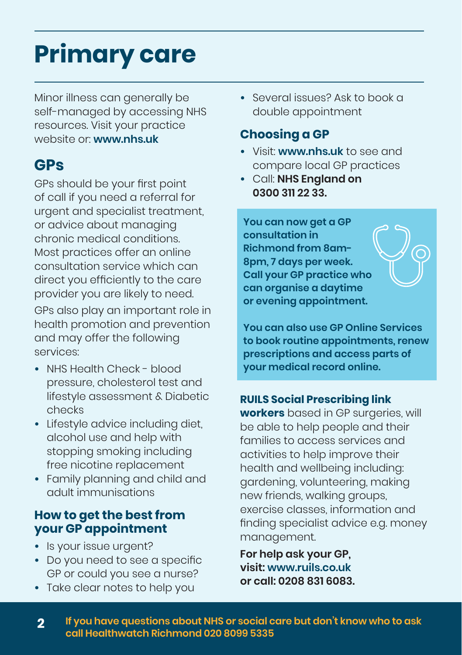# **Primary care**

Minor illness can generally be self-managed by accessing NHS resources. Visit your practice website or: **[www.nhs.uk](http://www.nhs.uk)**

## **GPs**

GPs should be your first point of call if you need a referral for urgent and specialist treatment, or advice about managing chronic medical conditions. Most practices offer an online consultation service which can direct you efficiently to the care provider you are likely to need. GPs also play an important role in health promotion and prevention and may offer the following services:

- **•** NHS Health Check blood pressure, cholesterol test and lifestyle assessment & Diabetic checks
- **•** Lifestyle advice including diet, alcohol use and help with stopping smoking including free nicotine replacement
- **•** Family planning and child and adult immunisations

### **How to get the best from your GP appointment**

- **•** Is your issue urgent?
- **•** Do you need to see a specific GP or could you see a nurse?
- **•** Take clear notes to help you

**•** Several issues? Ask to book a double appointment

### **Choosing a GP**

- **•** Visit: **[www.nhs.uk](http://www.nhs.uk)** to see and compare local GP practices
- **•** Call: **NHS England on 0300 311 22 33.**

**You can now get a GP consultation in Richmond from 8am-8pm, 7 days per week. Call your GP practice who can organise a daytime or evening appointment.** 

**You can also use GP Online Services to book routine appointments, renew prescriptions and access parts of your medical record online.**

### **RUILS Social Prescribing link**

**workers** based in GP surgeries, will be able to help people and their families to access services and activities to help improve their health and wellbeing including: gardening, volunteering, making new friends, walking groups, exercise classes, information and finding specialist advice e.g. money management.

**For help ask your GP, visit: [www.ruils.co.uk](http://www.ruils.co.uk) or call: 0208 831 6083.**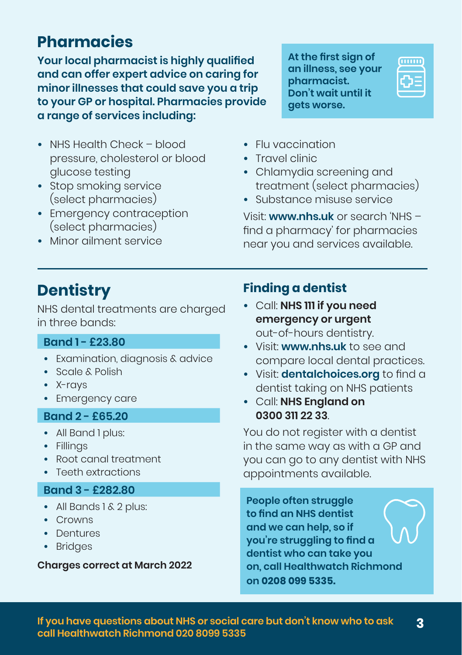## **Pharmacies**

**Your local pharmacist is highly qualified and can offer expert advice on caring for minor illnesses that could save you a trip to your GP or hospital. Pharmacies provide a range of services including:** 

- **•** NHS Health Check blood pressure, cholesterol or blood glucose testing
- **•** Stop smoking service (select pharmacies)
- **•** Emergency contraception (select pharmacies)
- **•** Minor ailment service

**At the first sign of an illness, see your pharmacist. Don't wait until it gets worse.**



- **•** Flu vaccination
- **•** Travel clinic
- **•** Chlamydia screening and treatment (select pharmacies)
- **•** Substance misuse service

Visit: **[www.nhs.uk](http://www.nhs.uk)** or search 'NHS – find a pharmacy' for pharmacies near you and services available.

## **Dentistry**

NHS dental treatments are charged in three bands:

### **Band 1 - £23.80**

- **•** Examination, diagnosis & advice
- **•** Scale & Polish
- **•** X-rays
- **•** Emergency care

### **Band 2 - £65.20**

- **•** All Band 1 plus:
- **•** Fillings
- **•** Root canal treatment
- **•** Teeth extractions

### **Band 3 - £282.80**

- **•** All Bands 1 & 2 plus:
- **•** Crowns
- **•** Dentures
- **•** Bridges

#### **Charges correct at March 2022**

### **Finding a dentist**

- **•** Call: **NHS 111 if you need emergency or urgent** out-of-hours dentistry.
- **•** Visit: **[www.nhs.uk](http://www.nhs.uk)** to see and compare local dental practices.
- **•** Visit: **[dentalchoices.org](https://dentalchoices.org)** to find a dentist taking on NHS patients
- **•** Call: **NHS England on 0300 311 22 33**.

You do not register with a dentist in the same way as with a GP and you can go to any dentist with NHS appointments available.

**People often struggle to find an NHS dentist and we can help, so if you're struggling to find a dentist who can take you on, call Healthwatch Richmond on 0208 099 5335.**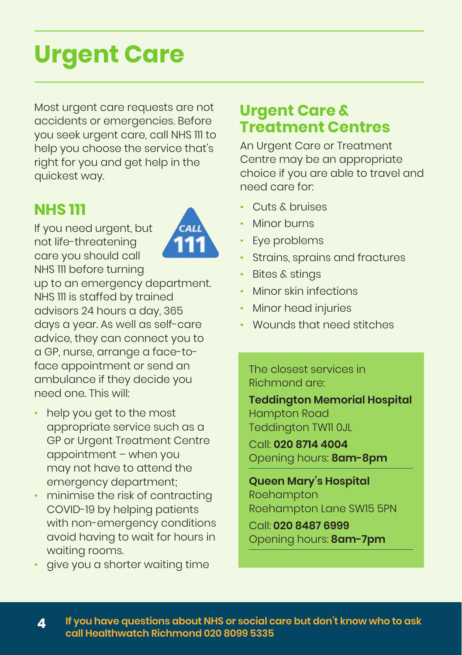# **Urgent Care**

Most urgent care requests are not accidents or emergencies. Before you seek urgent care, call NHS 111 to help you choose the service that's right for you and get help in the quickest way.

## **NHS 111**

If you need urgent, but not life-threatening care you should call NHS 111 before turning



up to an emergency department. NHS 111 is staffed by trained advisors 24 hours a day, 365 days a year. As well as self-care advice, they can connect you to a GP, nurse, arrange a face-toface appointment or send an ambulance if they decide you need one. This will:

- help you get to the most appropriate service such as a GP or Urgent Treatment Centre appointment – when you may not have to attend the emergency department;
- minimise the risk of contracting COVID-19 by helping patients with non-emergency conditions avoid having to wait for hours in waiting rooms.
- give you a shorter waiting time

## **Urgent Care & Treatment Centres**

An Urgent Care or Treatment Centre may be an appropriate choice if you are able to travel and need care for:

- Cuts & bruises
- Minor burns
- Eye problems
- Strains, sprains and fractures
- Bites & stings
- Minor skin infections
- Minor head injuries
- Wounds that need stitches

The closest services in Richmond are:

**Teddington Memorial Hospital** Hampton Road Teddington TW11 0JL Call: **020 8714 4004**

Opening hours: **8am-8pm**

**Queen Mary's Hospital**  Roehampton Roehampton Lane SW15 5PN

Call: **020 8487 6999** Opening hours: **8am-7pm**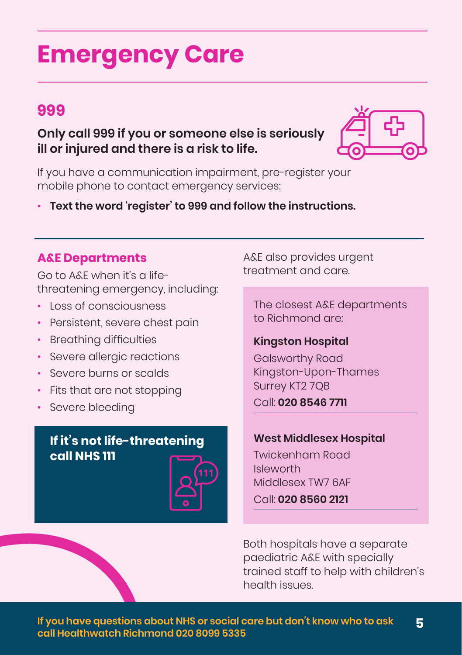## **Emergency Care**

## **999**

**Only call 999 if you or someone else is seriously ill or injured and there is a risk to life.**



If you have a communication impairment, pre-register your mobile phone to contact emergency services:

• **Text the word 'register' to 999 and follow the instructions.**

### **A&E Departments**

Go to A&E when it's a lifethreatening emergency, including:

- Loss of consciousness
- Persistent, severe chest pain
- Breathing difficulties
- Severe allergic reactions
- Severe burns or scalds
- Fits that are not stopping
- Severe bleeding

### **If it's not life-threatening call NHS 111**



A&E also provides urgent treatment and care.

The closest A&E departments to Richmond are:

### **Kingston Hospital**

Galsworthy Road Kingston-Upon-Thames Surrey KT2 7QB

### Call: **020 8546 7711**

#### **West Middlesex Hospital**

Twickenham Road Isleworth Middlesex TW7 6AF Call: **020 8560 2121** 

Both hospitals have a separate paediatric A&E with specially trained staff to help with children's health issues.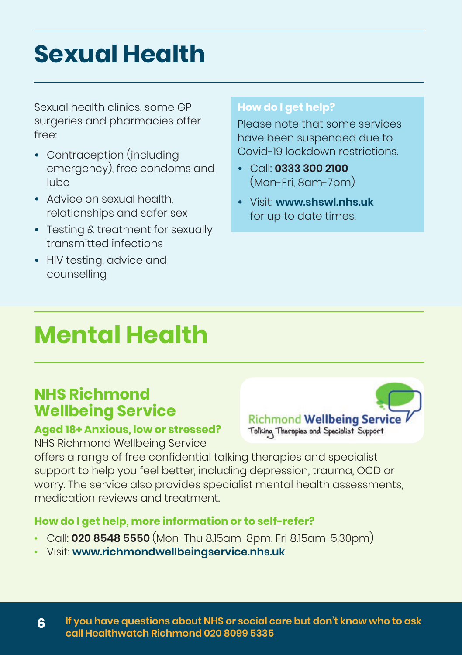## **Sexual Health**

Sexual health clinics, some GP surgeries and pharmacies offer free:

- **•** Contraception (including emergency), free condoms and lube
- **•** Advice on sexual health, relationships and safer sex
- **•** Testing & treatment for sexually transmitted infections
- **•** HIV testing, advice and counselling

#### **How do I get help?**

Please note that some services have been suspended due to Covid-19 lockdown restrictions.

- **•** Call: **0333 300 2100** (Mon-Fri, 8am-7pm)
- **•** Visit: **[www.shswl.nhs.uk](http://www.shswl.nhs.uk)** for up to date times.

## **Mental Health**

### **NHS Richmond Wellbeing Service**

### **Aged 18+ Anxious, low or stressed?**

NHS Richmond Wellbeing Service

Richmond Wellbeing Service Talking Therapies and Specialist Support

offers a range of free confidential talking therapies and specialist support to help you feel better, including depression, trauma, OCD or worry. The service also provides specialist mental health assessments, medication reviews and treatment.

### **How do I get help, more information or to self-refer?**

- Call: **020 8548 5550** (Mon-Thu 8.15am-8pm, Fri 8.15am-5.30pm)
- Visit: **[www.richmondwellbeingservice.nhs.uk](http://www.richmondwellbeingservice.nhs.uk)**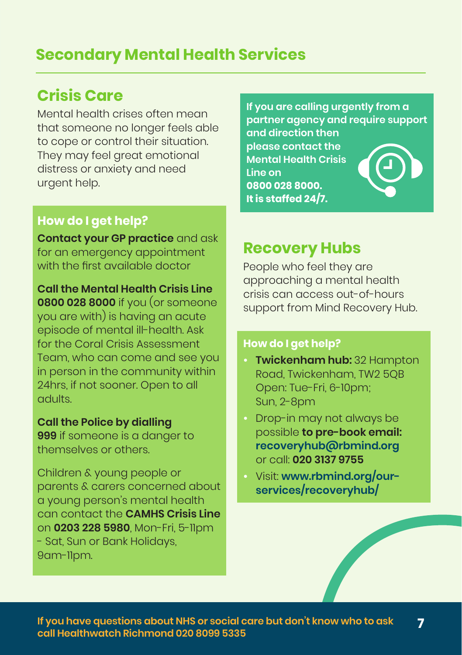## **Secondary Mental Health Services**

### **Crisis Care**

Mental health crises often mean that someone no longer feels able to cope or control their situation. They may feel great emotional distress or anxiety and need urgent help.

### **How do I get help?**

**Contact your GP practice** and ask for an emergency appointment with the first available doctor

**Call the Mental Health Crisis Line 0800 028 8000** if you (or someone you are with) is having an acute episode of mental ill-health. Ask for the Coral Crisis Assessment Team, who can come and see you in person in the community within 24hrs, if not sooner. Open to all adults.

#### **Call the Police by dialling**

**999** if someone is a danger to themselves or others.

Children & young people or parents & carers concerned about a young person's mental health can contact the **CAMHS Crisis Line**  on **0203 228 5980**, Mon-Fri, 5-11pm - Sat, Sun or Bank Holidays, 9am-11pm.

**If you are calling urgently from a partner agency and require support and direction then** 

**please contact the Mental Health Crisis Line on 0800 028 8000. It is staffed 24/7.**



### **Recovery Hubs**

People who feel they are approaching a mental health crisis can access out-of-hours support from Mind Recovery Hub.

#### **How do I get help?**

- **• Twickenham hub:** 32 Hampton Road, Twickenham, TW2 5QB Open: Tue-Fri, 6-10pm; Sun, 2-8pm
- **•** Drop-in may not always be possible **to pre-book email: [recoveryhub@rbmind.org](mailto:recoveryhub@rbmind.org)** or call: **020 3137 9755**
- **•** Visit: **[www.rbmind.org/our](http://www.rbmind.org/our-services/recoveryhub/)[services/recoveryhub/](http://www.rbmind.org/our-services/recoveryhub/)**

**7 If you have questions about NHS or social care but don't know who to ask call Healthwatch Richmond 020 8099 5335**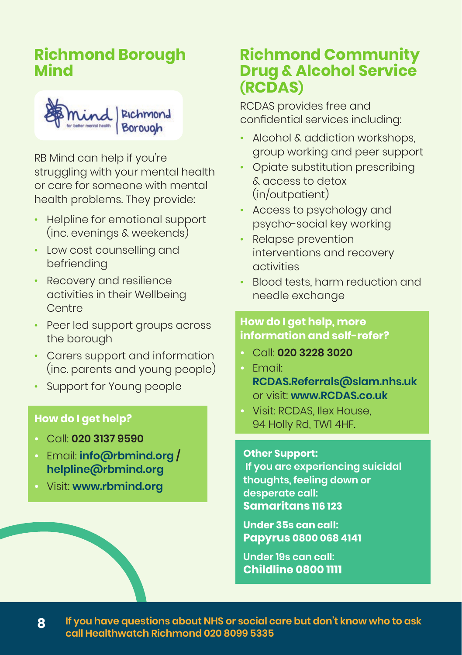## **Richmond Borough Mind**



RB Mind can help if you're struggling with your mental health or care for someone with mental health problems. They provide:

- Helpline for emotional support (inc. evenings & weekends)
- Low cost counselling and befriending
- Recovery and resilience activities in their Wellbeing **Centre**
- Peer led support groups across the borough
- Carers support and information (inc. parents and young people)
- Support for Young people

### **How do I get help?**

- **•** Call: **020 3137 9590**
- **•** Email: **[info@rbmind.org](mailto:info@rbmind.org) / [helpline@rbmind.org](mailto:helpline@rbmind.org)**
- **•** Visit: **[www.rbmind.org](http://www.rbmind.org)**

### **Richmond Community Drug & Alcohol Service (RCDAS)**

RCDAS provides free and confidential services including:

- Alcohol & addiction workshops, group working and peer support
- Opiate substitution prescribing & access to detox (in/outpatient)
- Access to psychology and psycho-social key working
- Relapse prevention interventions and recovery activities
- Blood tests, harm reduction and needle exchange

### **How do I get help, more information and self-refer?**

- **•** Call: **020 3228 3020**
- **•** Email: **[RCDAS.Referrals@slam.nhs.uk](mailto:RCDAS.Referrals@slam.nhs.uk)** or visit: **[www.RCDAS.co.uk](http://www.RCDAS.co.uk)**
- **•** Visit: RCDAS, Ilex House, 94 Holly Rd, TW1 4HF.

#### **Other Support:**

 **If you are experiencing suicidal thoughts, feeling down or desperate call: Samaritans 116 123** 

**Under 35s can call: Papyrus 0800 068 4141** 

**Under 19s can call: Childline 0800 1111**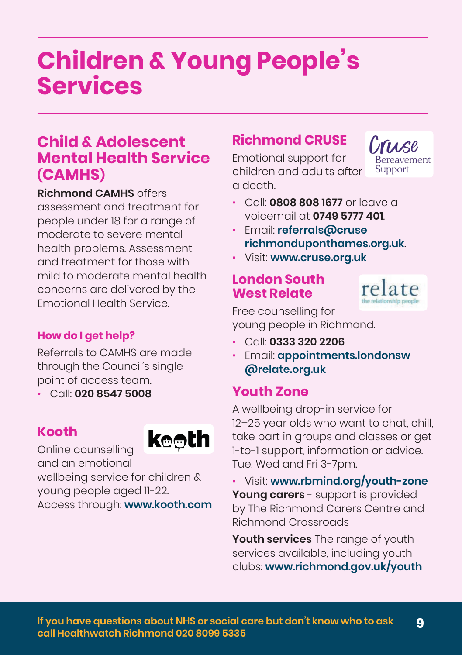## **Children & Young People's Services**

### **Child & Adolescent Mental Health Service (CAMHS)**

**Richmond CAMHS** offers assessment and treatment for people under 18 for a range of moderate to severe mental health problems. Assessment and treatment for those with mild to moderate mental health concerns are delivered by the Emotional Health Service.

### **How do I get help?**

Referrals to CAMHS are made through the Council's single point of access team.

• Call: **020 8547 5008**

### **Kooth**



Online counselling and an emotional

wellbeing service for children & young people aged 11-22.

Access through: **[www.kooth.com](http://www.kooth.com)**

### **Richmond CRUSE**

Emotional support for children and adults after a death.

Cruse **Bereavement** Support

- Call: **0808 808 1677** or leave a voicemail at **0749 5777 401**.
- Email: **[referrals@cruse](mailto:referrals@cruserichmonduponthames.org.uk) [richmonduponthames.org.uk](mailto:referrals@cruserichmonduponthames.org.uk)**.
- Visit: **[www.cruse.org.uk](http://www.cruse.org.uk)**

### **London South West Relate**



Free counselling for young people in Richmond.

- Call: **0333 320 2206**
- Email: **[appointments.londonsw](mailto:appointments.londonsw@relate.org.uk) [@relate.org.uk](mailto:appointments.londonsw@relate.org.uk)**

### **Youth Zone**

A wellbeing drop-in service for 12–25 year olds who want to chat, chill, take part in groups and classes or get 1-to-1 support, information or advice. Tue, Wed and Fri 3-7pm.

• Visit: **[www.rbmind.org/youth-zone](https://www.rbmind.org/youth-zone/) Young carers** - support is provided by The Richmond Carers Centre and Richmond Crossroads

**Youth services** The range of youth services available, including youth clubs: **[www.richmond.gov.uk/youth](https://www.richmond.gov.uk/youth)**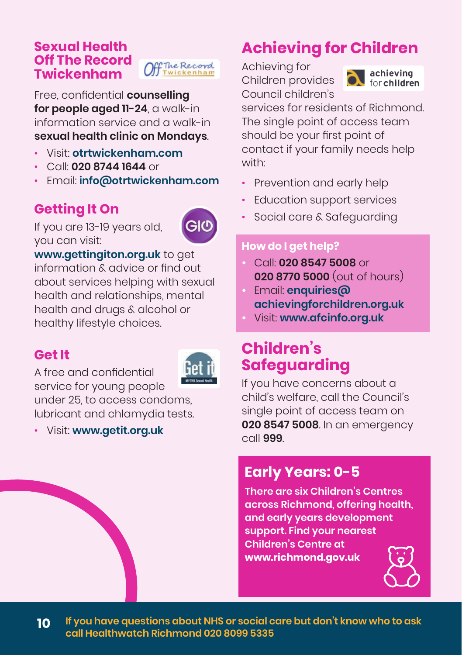### **Sexual Health Off The Record Twickenham**



Free, confidential **counselling for people aged 11-24**, a walk-in information service and a walk-in **sexual health clinic on Mondays**.

- Visit: **[otrtwickenham.com](https://otrtwickenham.com/)**
- Call: **020 8744 1644** or
- Email: **[info@otrtwickenham.com](mailto:info@otrtwickenham.com)**

## **Getting It On**

If you are 13-19 years old, you can visit:



**[www.gettingiton.org.uk](http://www.gettingiton.org.uk)** to get information & advice or find out about services helping with sexual health and relationships, mental health and drugs & alcohol or healthy lifestyle choices.

### **Get It**



A free and confidential service for young people under 25, to access condoms lubricant and chlamydia tests.

• Visit: **[www.getit.org.uk](http://www.getit.org.uk)**

## **Achieving for Children**

Achieving for Children provides Council children's



services for residents of Richmond. The single point of access team should be your first point of contact if your family needs help with:

- Prevention and early help
- Education support services
- Social care & Safeguarding

### **How do I get help?**

- **•** Call: **020 8547 5008** or **020 8770 5000** (out of hours)
- **•** Email: **[enquiries@](mailto:enquiries@achievingforchildren.org.uk) [achievingforchildren.org.uk](mailto:enquiries@achievingforchildren.org.uk)**
- **•** Visit: **[www.afcinfo.org.uk](http://www.afcinfo.org.uk)**

## **Children's Safeguarding**

If you have concerns about a child's welfare, call the Council's single point of access team on **020 8547 5008**. In an emergency call **999**.

## **Early Years: 0-5**

**There are six Children's Centres across Richmond, offering health, and early years development support. Find your nearest Children's Centre at [www.richmond.gov.uk](http://www.richmond.gov.uk)** 

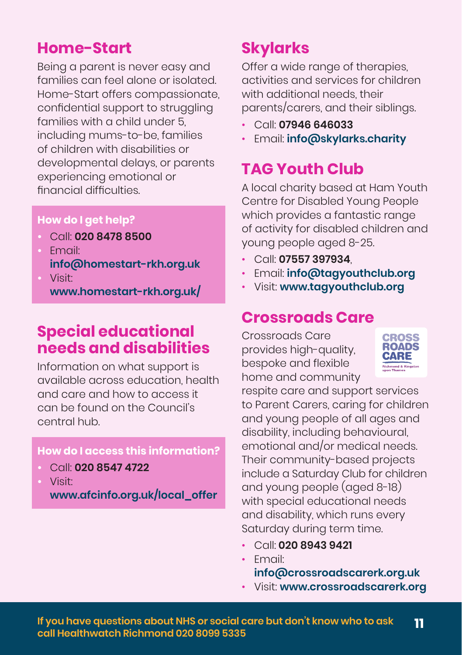### **Home-Start**

Being a parent is never easy and families can feel alone or isolated. Home-Start offers compassionate, confidential support to struggling families with a child under 5, including mums-to-be, families of children with disabilities or developmental delays, or parents experiencing emotional or financial difficulties.

### **How do I get help?**

- **•** Call: **020 8478 8500**
- **•** Email: **[info@homestart-rkh.org.uk](mailto:info@homestart-rkh.org.uk) •** Visit:

**[www.homestart-rkh.org.uk/](http://www.homestart-rkh.org.uk/)**

## **Special educational needs and disabilities**

Information on what support is available across education, health and care and how to access it can be found on the Council's central hub.

### **How do I access this information?**

- **•** Call: **020 8547 4722**
- **•** Visit:

**[www.afcinfo.org.uk/local\\_offer](http://www.afcinfo.org.uk/local_offer)**

## **Skylarks**

Offer a wide range of therapies, activities and services for children with additional needs, their parents/carers, and their siblings.

- Call: **07946 646033**
- Email: **[info@skylarks.charity](mailto:info@skylarks.charity)**

## **TAG Youth Club**

A local charity based at Ham Youth Centre for Disabled Young People which provides a fantastic range of activity for disabled children and young people aged 8-25.

- Call: **07557 397934**,
- Email: **[info@tagyouthclub.org](mailto:info@tagyouthclub.org)**
- Visit: **[www.tagyouthclub.org](http://www.tagyouthclub.org)**

## **Crossroads Care**

Crossroads Care provides high-quality, bespoke and flexible home and community



respite care and support services to Parent Carers, caring for children and young people of all ages and disability, including behavioural, emotional and/or medical needs. Their community-based projects include a Saturday Club for children and young people (aged 8-18) with special educational needs and disability, which runs every Saturday during term time.

- Call: **020 8943 9421**
- Email: **[info@crossroadscarerk.org.uk](mailto:info@crossroadscarerk.org.uk)**
- Visit: **[www.crossroadscarerk.org](http://www.crossroadscarerk.org)**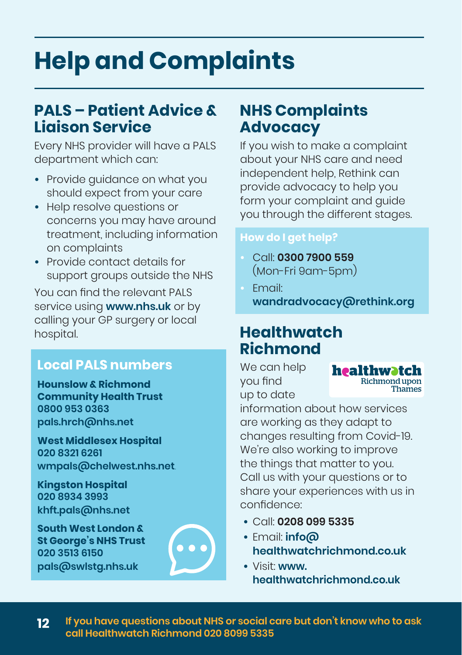## **Help and Complaints**

## **PALS – Patient Advice & Liaison Service**

Every NHS provider will have a PALS department which can:

- **•** Provide guidance on what you should expect from your care
- **•** Help resolve questions or concerns you may have around treatment, including information on complaints
- **•** Provide contact details for support groups outside the NHS

You can find the relevant PALS service using **[www.nhs.uk](http://www.nhs.uk)** or by calling your GP surgery or local hospital.

### **Local PALS numbers**

**Hounslow & Richmond Community Health Trust 0800 953 0363 [pals.hrch@nhs.net](mailto:pals.hrch@nhs.net)**

**West Middlesex Hospital 020 8321 6261**  wmpals@chelwest.nhs.net

**Kingston Hospital 020 8934 3993 [khft.pals@nhs.net](mailto:khft.pals@nhs.net)**

**South West London & St George's NHS Trust 020 3513 6150 [pals@swlstg.nhs.uk](mailto:pals@swlstg.nhs.uk)**



## **NHS Complaints Advocacy**

If you wish to make a complaint about your NHS care and need independent help, Rethink can provide advocacy to help you form your complaint and guide you through the different stages.

#### **How do I get help?**

- **•** Call: **0300 7900 559** (Mon-Fri 9am-5pm)
- **•** Email: **[wandradvocacy@rethink.org](mailto:wandradvocacy@rethink.org)**

## **Healthwatch Richmond**

We can help you find up to date

healthwatch Richmond upon Thames

information about how services are working as they adapt to changes resulting from Covid-19. We're also working to improve the things that matter to you. Call us with your questions or to share your experiences with us in confidence:

- **•** Call: **0208 099 5335**
- **•** Email: **[info@](mailto:info@healthwatchrichmond.co.uk) [healthwatchrichmond.co.uk](mailto:info@healthwatchrichmond.co.uk)**
- **•** Visit: **[www.](http://www.healthwatchrichmond.co.uk) [healthwatchrichmond.co.uk](http://www.healthwatchrichmond.co.uk)**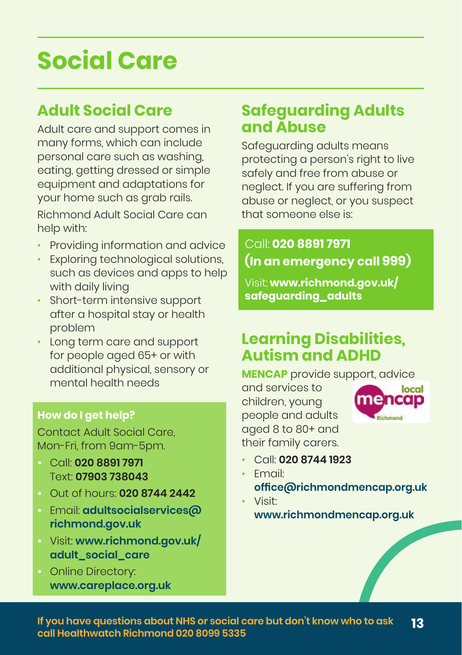## **Social Care**

## **Adult Social Care**

Adult care and support comes in many forms, which can include personal care such as washing, eating, getting dressed or simple equipment and adaptations for your home such as grab rails.

Richmond Adult Social Care can help with:

- Providing information and advice
- Exploring technological solutions, such as devices and apps to help with daily living
- Short-term intensive support after a hospital stay or health problem
- Long term care and support for people aged 65+ or with additional physical, sensory or mental health needs

### **How do I get help?**

Contact Adult Social Care, Mon-Fri, from 9am-5pm.

- **•** Call: **020 8891 7971** Text: **07903 738043**
- **•** Out of hours: **020 8744 2442**
- **•** Email: **[adultsocialservices@](mailto:adultsocialservices@richmond.gov.uk) [richmond.gov.uk](mailto:adultsocialservices@richmond.gov.uk)**
- **•** Visit: **[www.richmond.gov.uk/](http://www.richmond.gov.uk/adult_social_care) [adult\\_social\\_care](http://www.richmond.gov.uk/adult_social_care)**
- **•** Online Directory: **[www.careplace.org.uk](http://www.careplace.org.uk)**

## **Safeguarding Adults and Abuse**

Safeguarding adults means protecting a person's right to live safely and free from abuse or neglect. If you are suffering from abuse or neglect, or you suspect that someone else is:

Call: **020 8891 7971 (In an emergency call 999)** 

Visit: **[www.richmond.gov.uk/](https://www.richmond.gov.uk/safeguarding_adults) [safeguarding\\_adults](https://www.richmond.gov.uk/safeguarding_adults)**

## **Learning Disabilities, Autism and ADHD**

**MENCAP** provide support, advice

and services to children, young people and adults aged 8 to 80+ and their family carers.



- Call: **020 8744 1923**
- Email: **[office@richmondmencap.org.uk](mailto:office@richmondmencap.org.uk)**
- Visit: **[www.richmondmencap.org.uk](http://www.richmondmencap.org.uk)**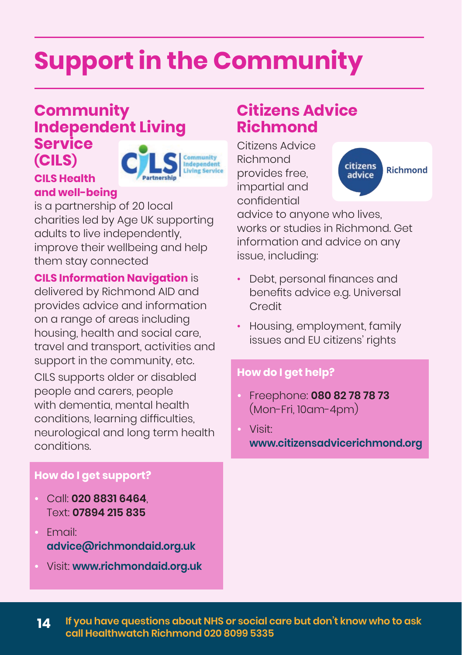# **Support in the Community**

### **Community Independent Living Service (CILS)**

#### **CILS Health and well-being**



is a partnership of 20 local charities led by Age UK supporting adults to live independently, improve their wellbeing and help them stay connected

### **CILS Information Navigation** is

delivered by Richmond AID and provides advice and information on a range of areas including housing, health and social care, travel and transport, activities and support in the community, etc.

CILS supports older or disabled people and carers, people with dementia, mental health conditions, learning difficulties, neurological and long term health conditions.

### **How do I get support?**

- **•** Call: **020 8831 6464**, Text: **07894 215 835**
- **•** Email: **[advice@richmondaid.org.uk](mailto:advice@richmondaid.org.uk)**
- **•** Visit: **[www.richmondaid.org.uk](http://www.richmondaid.org.uk)**

## **Citizens Advice Richmond**

Citizens Advice Richmond provides free, impartial and confidential



advice to anyone who lives, works or studies in Richmond. Get information and advice on any issue, including:

- Debt, personal finances and benefits advice e.g. Universal Credit
- Housing, employment, family issues and EU citizens' rights

### **How do I get help?**

- **•** Freephone: **080 82 78 78 73** (Mon-Fri, 10am-4pm)
- **•** Visit: **[www.citizensadvicerichmond.org](http://www.citizensadvicerichmond.org)**

**14 If you have questions about NHS or social care but don't know who to ask call Healthwatch Richmond 020 8099 5335**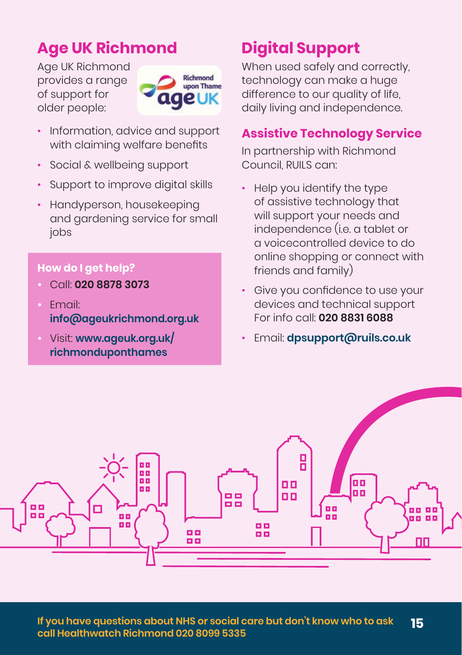## **Age UK Richmond**

Age UK Richmond provides a range of support for older people:



- Information, advice and support with claiming welfare benefits
- Social & wellbeing support
- Support to improve digital skills
- Handyperson, housekeeping and gardening service for small jobs

### **How do I get help?**

- **•** Call: **020 8878 3073**
- **•** Email: **[info@ageukrichmond.org.uk](mailto:info@ageukrichmond.org.uk)**
- **•** Visit: **[www.ageuk.org.uk/](http://www.ageuk.org.uk/richmonduponthames) [richmonduponthames](http://www.ageuk.org.uk/richmonduponthames)**

## **Digital Support**

When used safely and correctly. technology can make a huge difference to our quality of life, daily living and independence.

### **Assistive Technology Service**

In partnership with Richmond Council, RUILS can:

- Help you identify the type of assistive technology that will support your needs and independence (i.e. a tablet or a voicecontrolled device to do online shopping or connect with friends and family)
- Give you confidence to use your devices and technical support For info call: **020 8831 6088**
- Email: **[dpsupport@ruils.co.uk](mailto:dpsupport@ruils.co.uk)**

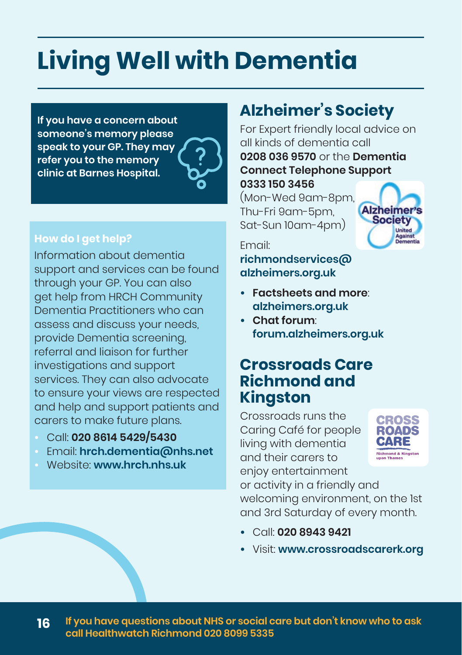# **Living Well with Dementia**

**If you have a concern about someone's memory please speak to your GP. They may refer you to the memory clinic at Barnes Hospital.** 

### **How do I get help?**

Information about dementia support and services can be found through your GP. You can also get help from HRCH Community Dementia Practitioners who can assess and discuss your needs, provide Dementia screening, referral and liaison for further investigations and support services. They can also advocate to ensure your views are respected and help and support patients and carers to make future plans.

- **•** Call: **020 8614 5429/5430**
- **•** Email: **[hrch.dementia@nhs.net](mailto:hrch.dementia@nhs.net)**
- **•** Website: **[www.hrch.nhs.uk](http://www.hrch.nhs.uk)**

## **Alzheimer's Society**

For Expert friendly local advice on all kinds of dementia call **0208 036 9570** or the **Dementia Connect Telephone Support**

**0333 150 3456** (Mon-Wed 9am-8pm, Thu-Fri 9am-5pm, Sat-Sun 10am-4pm)



#### Email:

**[richmondservices@](mailto:richmondservices@alzheimers.org.uk) [alzheimers.org.uk](mailto:richmondservices@alzheimers.org.uk)**

- **• Factsheets and more**: **[alzheimers.org.uk](http://alzheimers.org.uk)**
- **• Chat forum**: **[forum.alzheimers.org.uk](http://forum.alzheimers.org.uk)**

### **Crossroads Care Richmond and Kingston**

Crossroads runs the Caring Café for people living with dementia and their carers to enjoy entertainment



or activity in a friendly and welcoming environment, on the 1st and 3rd Saturday of every month.

- **•** Call: **020 8943 9421**
- **•** Visit: **[www.crossroadscarerk.org](http://www.crossroadscarerk.org)**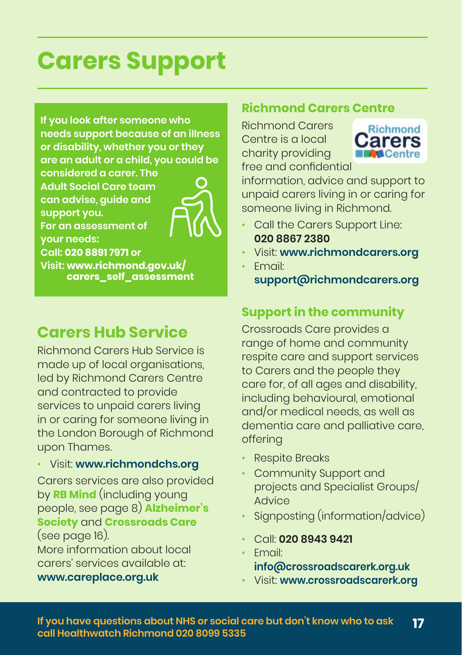## **Carers Support**

**If you look after someone who needs support because of an illness or disability, whether you or they are an adult or a child, you could be** 

**considered a carer. The Adult Social Care team can advise, guide and support you. For an assessment of** 

**your needs:** 



**Call: 020 8891 7971 or Visit: [www.richmond.gov.uk/](http://www.richmond.gov.uk/carers_self_assessment) [carers\\_self\\_assessment](http://www.richmond.gov.uk/carers_self_assessment)**

## **Carers Hub Service**

Richmond Carers Hub Service is made up of local organisations. led by Richmond Carers Centre and contracted to provide services to unpaid carers living in or caring for someone living in the London Borough of Richmond upon Thames.

• Visit: **[www.richmondchs.org](http://www.richmondchs.org)**

Carers services are also provided by **RB Mind** (including young people, see page 8) **Alzheimer's Society** and **Crossroads Care**  (see page 16).

More information about local carers' services available at: **[www.careplace.org.uk](http://www.careplace.org.uk)**

#### **Richmond Carers Centre**

Richmond Carers Centre is a local charity providing free and confidential



information, advice and support to unpaid carers living in or caring for someone living in Richmond.

- Call the Carers Support Line: **020 8867 2380**
- Visit: **[www.richmondcarers.org](http://www.richmondcarers.org)**
- Email:

**[support@richmondcarers.org](mailto:support@richmondcarers.org)**

### **Support in the community**

Crossroads Care provides a range of home and community respite care and support services to Carers and the people they care for, of all ages and disability, including behavioural, emotional and/or medical needs, as well as dementia care and palliative care, offering

- Respite Breaks
- Community Support and projects and Specialist Groups/ Advice
- Signposting (information/advice)
- Call: **020 8943 9421**
- Email: **[info@crossroadscarerk.org.uk](mailto:info@crossroadscarerk.org.uk)**
- Visit: **[www.crossroadscarerk.org](http://www.crossroadscarerk.org)**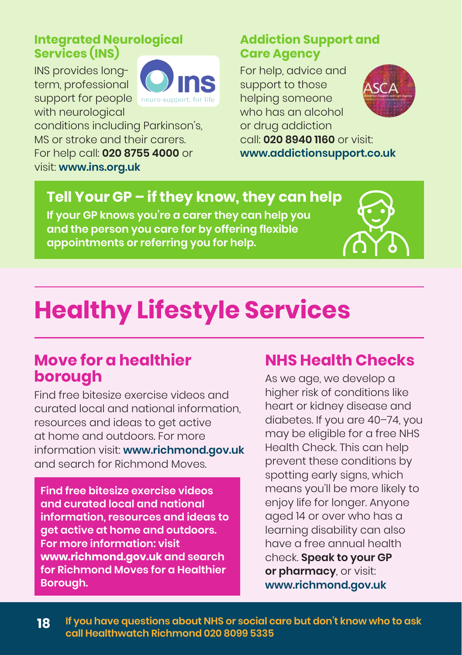### **Integrated Neurological Services (INS)**

INS provides longterm, professional support for people with neurological



conditions including Parkinson's, MS or stroke and their carers. For help call: **020 8755 4000** or visit: **[www.ins.org.uk](http://www.ins.org.uk)**

### **Addiction Support and Care Agency**

For help, advice and support to those helping someone who has an alcohol or drug addiction



call: **020 8940 1160** or visit: **[www.addictionsupport.co.uk](http://www.addictionsupport.co.uk)**

## **Tell Your GP – if they know, they can help**

**If your GP knows you're a carer they can help you and the person you care for by offering flexible appointments or referring you for help.**

## **Healthy Lifestyle Services**

### **Move for a healthier borough**

Find free bitesize exercise videos and curated local and national information, resources and ideas to get active at home and outdoors. For more information visit: **[www.richmond.gov.uk](http://www.richmond.gov.uk)** and search for Richmond Moves.

**Find free bitesize exercise videos and curated local and national information, resources and ideas to get active at home and outdoors. For more information: visit [www.richmond.gov.uk](http://www.richmond.gov.uk) and search for Richmond Moves for a Healthier Borough.**

## **NHS Health Checks**

As we age, we develop a higher risk of conditions like heart or kidney disease and diabetes. If you are 40–74, you may be eligible for a free NHS Health Check. This can help prevent these conditions by spotting early signs, which means you'll be more likely to enjoy life for longer. Anyone aged 14 or over who has a learning disability can also have a free annual health check. **Speak to your GP or pharmacy**, or visit: **[www.richmond.gov.uk](http://www.richmond.gov.uk)**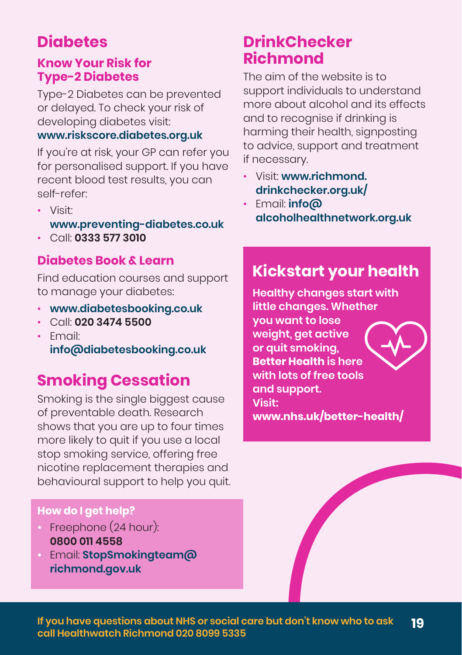## **Diabetes**

### **Know Your Risk for Type-2 Diabetes**

Type-2 Diabetes can be prevented or delayed. To check your risk of developing diabetes visit:

### **[www.riskscore.diabetes.org.uk](http://www.riskscore.diabetes.org.uk)**

If you're at risk, your GP can refer you for personalised support. If you have recent blood test results, you can self-refer:

- Visit: **[www.preventing-diabetes.co.uk](http://www.preventing-diabetes.co.uk)**
- Call: **0333 577 3010**

### **Diabetes Book & Learn**

Find education courses and support to manage your diabetes:

- **[www.diabetesbooking.co.uk](http://www.diabetesbooking.co.uk)**
- Call: **020 3474 5500**
- Email: **[info@diabetesbooking.co.uk](mailto:info@diabetesbooking.co.uk)**

## **Smoking Cessation**

Smoking is the single biggest cause of preventable death. Research shows that you are up to four times more likely to quit if you use a local stop smoking service, offering free nicotine replacement therapies and behavioural support to help you quit.

### **How do I get help?**

- **•** Freephone (24 hour): **0800 011 4558**
- **•** Email: **[StopSmokingteam@](mailto:StopSmokingteam%40richmond.gov.uk?subject=) [richmond.gov.uk](mailto:StopSmokingteam%40richmond.gov.uk?subject=)**

## **DrinkChecker Richmond**

The aim of the website is to support individuals to understand more about alcohol and its effects and to recognise if drinking is harming their health, signposting to advice, support and treatment if necessary.

- Visit: **[www.richmond.](https://www.richmond.drinkchecker.org.uk/) [drinkchecker.org.uk/](https://www.richmond.drinkchecker.org.uk/)**
- Email: **[info@](mailto:info@alcoholhealthnetwork.org.uk) [alcoholhealthnetwork.org.uk](mailto:info@alcoholhealthnetwork.org.uk)**

## **Kickstart your health**

**Healthy changes start with little changes. Whether you want to lose weight, get active or quit smoking, Better Health is here with lots of free tools and support. Visit: [www.nhs.uk/better-health/](https://www.nhs.uk/better-health/)**